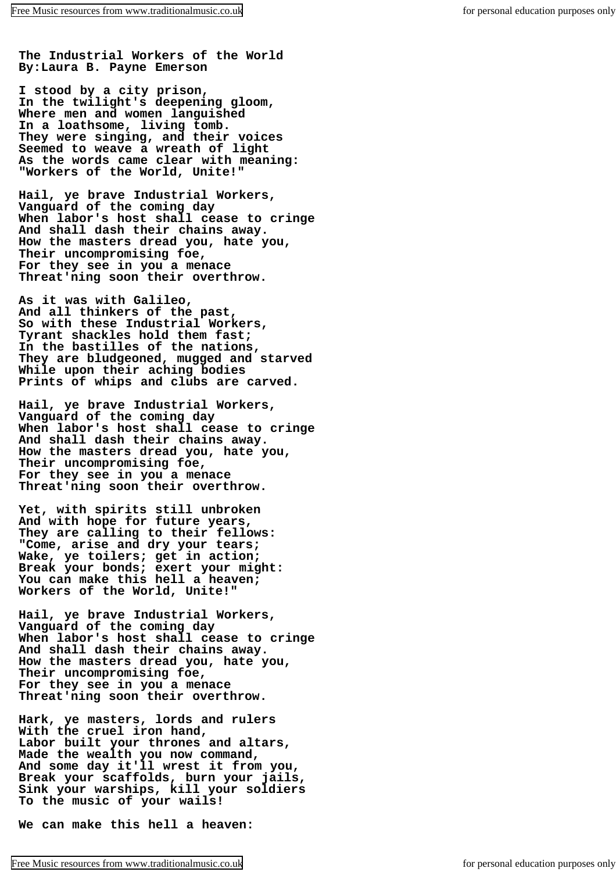**The Industrial Workers of the World By:Laura B. Payne Emerson**

**I stood by a city prison, In the twilight's deepening gloom, Where men and women languished In a loathsome, living tomb. They were singing, and their voices Seemed to weave a wreath of light As the words came clear with meaning: "Workers of the World, Unite!"**

**Hail, ye brave Industrial Workers, Vanguard of the coming day When labor's host shall cease to cringe And shall dash their chains away. How the masters dread you, hate you, Their uncompromising foe, For they see in you a menace Threat'ning soon their overthrow.**

**As it was with Galileo, And all thinkers of the past, So with these Industrial Workers, Tyrant shackles hold them fast; In the bastilles of the nations, They are bludgeoned, mugged and starved While upon their aching bodies Prints of whips and clubs are carved.**

**Hail, ye brave Industrial Workers, Vanguard of the coming day When labor's host shall cease to cringe And shall dash their chains away. How the masters dread you, hate you, Their uncompromising foe, For they see in you a menace Threat'ning soon their overthrow.**

**Yet, with spirits still unbroken And with hope for future years, They are calling to their fellows: "Come, arise and dry your tears; Wake, ye toilers; get in action; Break your bonds; exert your might: You can make this hell a heaven; Workers of the World, Unite!"**

**Hail, ye brave Industrial Workers, Vanguard of the coming day When labor's host shall cease to cringe And shall dash their chains away. How the masters dread you, hate you, Their uncompromising foe, For they see in you a menace Threat'ning soon their overthrow.**

**Hark, ye masters, lords and rulers With the cruel iron hand, Labor built your thrones and altars, Made the wealth you now command, And some day it'll wrest it from you, Break your scaffolds, burn your jails, Sink your warships, kill your soldiers To the music of your wails!**

**We can make this hell a heaven:**